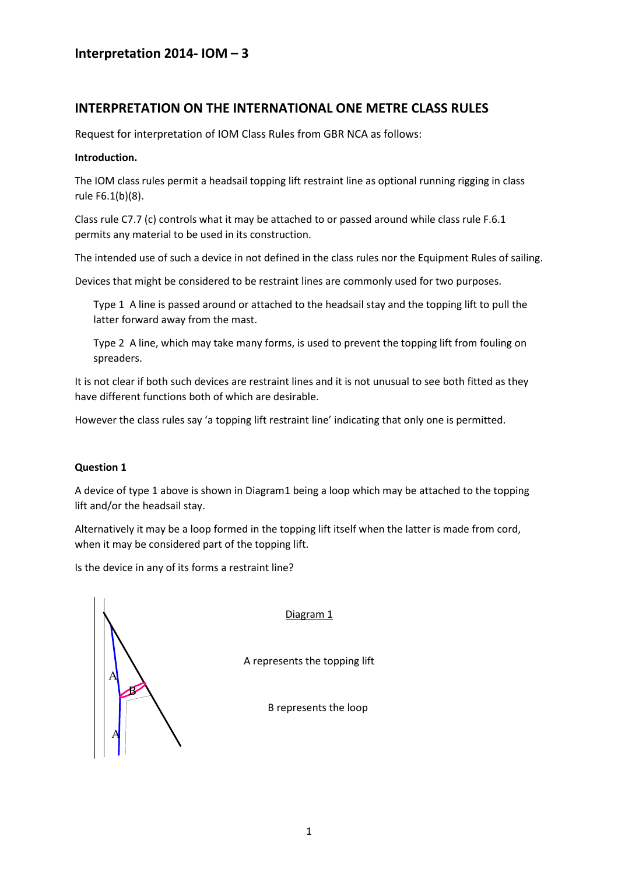### INTERPRETATION ON THE INTERNATIONAL ONE METRE CLASS RULES

Request for interpretation of IOM Class Rules from GBR NCA as follows:

#### Introduction.

The IOM class rules permit a headsail topping lift restraint line as optional running rigging in class rule F6.1(b)(8).

Class rule C7.7 (c) controls what it may be attached to or passed around while class rule F.6.1 permits any material to be used in its construction.

The intended use of such a device in not defined in the class rules nor the Equipment Rules of sailing.

Devices that might be considered to be restraint lines are commonly used for two purposes.

Type 1 A line is passed around or attached to the headsail stay and the topping lift to pull the latter forward away from the mast.

Type 2 A line, which may take many forms, is used to prevent the topping lift from fouling on spreaders.

It is not clear if both such devices are restraint lines and it is not unusual to see both fitted as they have different functions both of which are desirable.

However the class rules say 'a topping lift restraint line' indicating that only one is permitted.

#### Question 1

A device of type 1 above is shown in Diagram1 being a loop which may be attached to the topping lift and/or the headsail stay.

Alternatively it may be a loop formed in the topping lift itself when the latter is made from cord, when it may be considered part of the topping lift.

Is the device in any of its forms a restraint line?

A  $\overline{\mathsf{A}}$ B

Diagram 1

A represents the topping lift

B represents the loop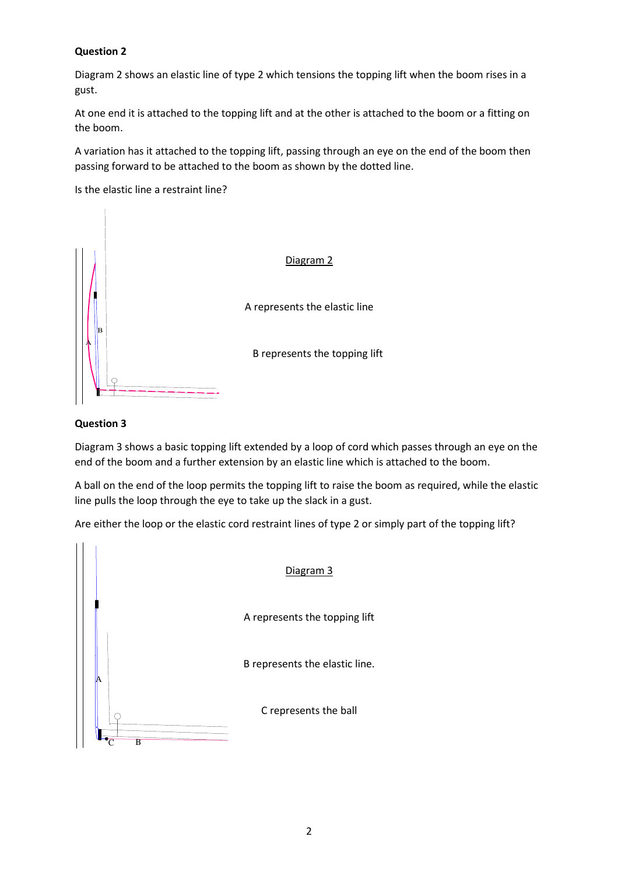#### Question 2

Diagram 2 shows an elastic line of type 2 which tensions the topping lift when the boom rises in a gust.

At one end it is attached to the topping lift and at the other is attached to the boom or a fitting on the boom.

A variation has it attached to the topping lift, passing through an eye on the end of the boom then passing forward to be attached to the boom as shown by the dotted line.

Is the elastic line a restraint line?



#### Question 3

Diagram 3 shows a basic topping lift extended by a loop of cord which passes through an eye on the end of the boom and a further extension by an elastic line which is attached to the boom.

A ball on the end of the loop permits the topping lift to raise the boom as required, while the elastic line pulls the loop through the eye to take up the slack in a gust.

Are either the loop or the elastic cord restraint lines of type 2 or simply part of the topping lift?

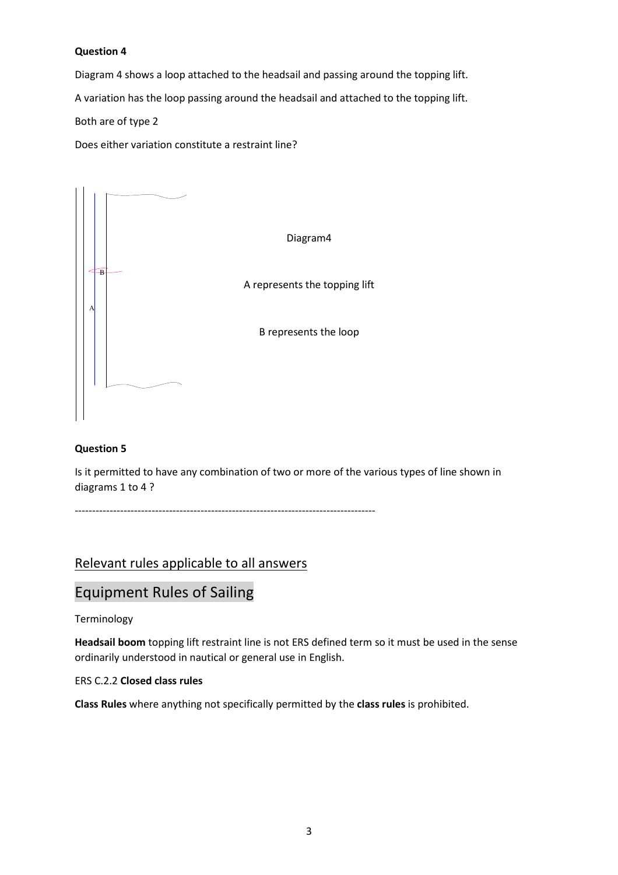#### Question 4

Diagram 4 shows a loop attached to the headsail and passing around the topping lift. A variation has the loop passing around the headsail and attached to the topping lift. Both are of type 2

Does either variation constitute a restraint line?



#### Question 5

Is it permitted to have any combination of two or more of the various types of line shown in diagrams 1 to 4 ?

--------------------------------------------------------------------------------------

## Relevant rules applicable to all answers

# Equipment Rules of Sailing

#### Terminology

Headsail boom topping lift restraint line is not ERS defined term so it must be used in the sense ordinarily understood in nautical or general use in English.

#### ERS C.2.2 Closed class rules

Class Rules where anything not specifically permitted by the class rules is prohibited.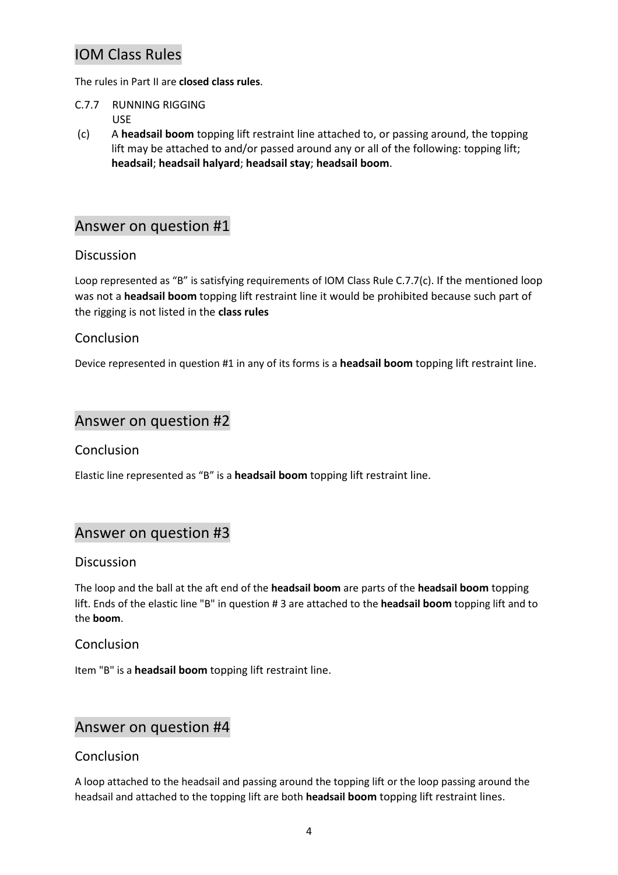# IOM Class Rules

The rules in Part II are closed class rules.

- C.7.7 RUNNING RIGGING USE
- (c) A headsail boom topping lift restraint line attached to, or passing around, the topping lift may be attached to and/or passed around any or all of the following: topping lift; headsail; headsail halyard; headsail stay; headsail boom.

## Answer on question #1

## **Discussion**

Loop represented as "B" is satisfying requirements of IOM Class Rule C.7.7(c). If the mentioned loop was not a headsail boom topping lift restraint line it would be prohibited because such part of the rigging is not listed in the class rules

## Conclusion

Device represented in question #1 in any of its forms is a **headsail boom** topping lift restraint line.

## Answer on question #2

## Conclusion

Elastic line represented as "B" is a headsail boom topping lift restraint line.

## Answer on question #3

#### **Discussion**

The loop and the ball at the aft end of the **headsail boom** are parts of the **headsail boom** topping lift. Ends of the elastic line "B" in question # 3 are attached to the **headsail boom** topping lift and to the boom.

## Conclusion

Item "B" is a **headsail boom** topping lift restraint line.

# Answer on question #4

#### Conclusion

A loop attached to the headsail and passing around the topping lift or the loop passing around the headsail and attached to the topping lift are both headsail boom topping lift restraint lines.